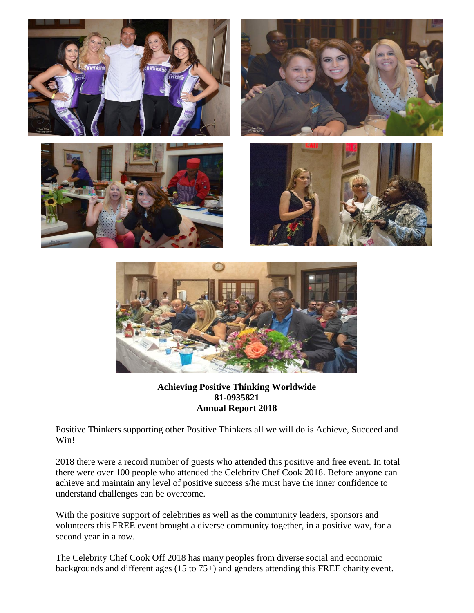



## **Achieving Positive Thinking Worldwide 81-0935821 Annual Report 2018**

Positive Thinkers supporting other Positive Thinkers all we will do is Achieve, Succeed and Win!

2018 there were a record number of guests who attended this positive and free event. In total there were over 100 people who attended the Celebrity Chef Cook 2018. Before anyone can achieve and maintain any level of positive success s/he must have the inner confidence to understand challenges can be overcome.

With the positive support of celebrities as well as the community leaders, sponsors and volunteers this FREE event brought a diverse community together, in a positive way, for a second year in a row.

The Celebrity Chef Cook Off 2018 has many peoples from diverse social and economic backgrounds and different ages (15 to 75+) and genders attending this FREE charity event.